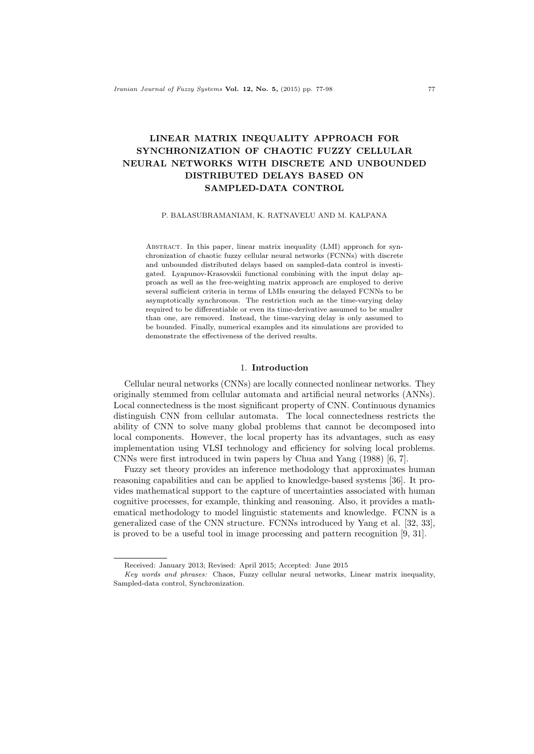# **LINEAR MATRIX INEQUALITY APPROACH FOR SYNCHRONIZATION OF CHAOTIC FUZZY CELLULAR NEURAL NETWORKS WITH DISCRETE AND UNBOUNDED DISTRIBUTED DELAYS BASED ON SAMPLED-DATA CONTROL**

#### P. BALASUBRAMANIAM, K. RATNAVELU AND M. KALPANA

Abstract. In this paper, linear matrix inequality (LMI) approach for synchronization of chaotic fuzzy cellular neural networks (FCNNs) with discrete and unbounded distributed delays based on sampled-data control is investigated. Lyapunov-Krasovskii functional combining with the input delay approach as well as the free-weighting matrix approach are employed to derive several sufficient criteria in terms of LMIs ensuring the delayed FCNNs to be asymptotically synchronous. The restriction such as the time-varying delay required to be differentiable or even its time-derivative assumed to be smaller than one, are removed. Instead, the time-varying delay is only assumed to be bounded. Finally, numerical examples and its simulations are provided to demonstrate the effectiveness of the derived results.

# 1. **Introduction**

Cellular neural networks (CNNs) are locally connected nonlinear networks. They originally stemmed from cellular automata and artificial neural networks (ANNs). Local connectedness is the most significant property of CNN. Continuous dynamics distinguish CNN from cellular automata. The local connectedness restricts the ability of CNN to solve many global problems that cannot be decomposed into local components. However, the local property has its advantages, such as easy implementation using VLSI technology and efficiency for solving local problems. CNNs were first introduced in twin papers by Chua and Yang (1988) [6, 7].

Fuzzy set theory provides an inference methodology that approximates human reasoning capabilities and can be applied to knowledge-based systems [36]. It provides mathematical support to the capture of uncertainties associated with human cognitive processes, for example, thinking and reasoning. Also, it provides a mathematical methodology to model linguistic statements and knowledge. FCNN is a generalized case of the CNN structure. FCNNs introduced by Yang et al. [32, 33], is proved to be a useful tool in image processing and pattern recognition [9, 31].

Received: January 2013; Revised: April 2015; Accepted: June 2015

*Key words and phrases:* Chaos, Fuzzy cellular neural networks, Linear matrix inequality, Sampled-data control, Synchronization.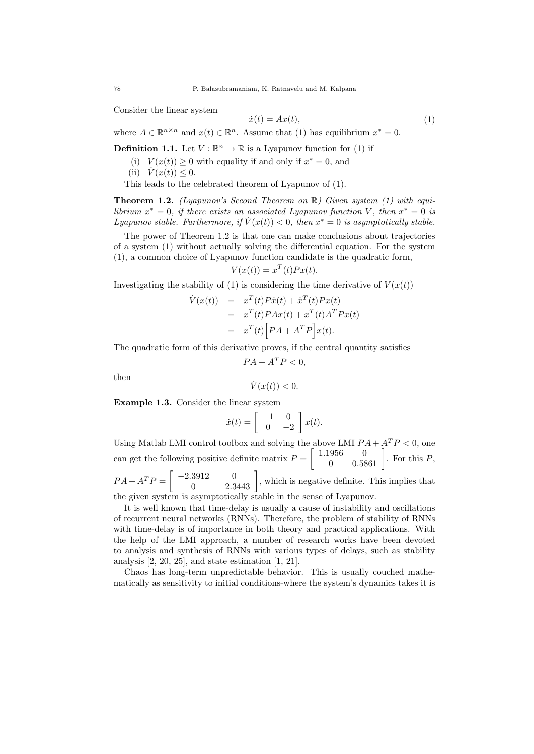Consider the linear system

$$
\dot{x}(t) = Ax(t),\tag{1}
$$

where  $A \in \mathbb{R}^{n \times n}$  and  $x(t) \in \mathbb{R}^n$ . Assume that (1) has equilibrium  $x^* = 0$ .

**Definition 1.1.** Let  $V : \mathbb{R}^n \to \mathbb{R}$  is a Lyapunov function for (1) if

- (i)  $V(x(t)) \geq 0$  with equality if and only if  $x^* = 0$ , and
- $(iii) \quad V(x(t)) \leq 0.$

This leads to the celebrated theorem of Lyapunov of (1).

**Theorem 1.2.** *(Lyapunov's Second Theorem on* R*) Given system (1) with equilibrium*  $x^* = 0$ , *if there exists an associated Lyapunov function V*, *then*  $x^* = 0$  *is Lyapunov stable. Furthermore, if*  $\dot{V}(x(t)) < 0$ , then  $x^* = 0$  is asymptotically stable.

The power of Theorem 1.2 is that one can make conclusions about trajectories of a system (1) without actually solving the differential equation. For the system (1), a common choice of Lyapunov function candidate is the quadratic form,

$$
V(x(t)) = x^T(t)Px(t).
$$

Investigating the stability of (1) is considering the time derivative of  $V(x(t))$ 

$$
\dot{V}(x(t)) = x^T(t)P\dot{x}(t) + \dot{x}^T(t)Px(t)
$$
  
= 
$$
x^T(t)PAx(t) + x^T(t)A^TPx(t)
$$
  
= 
$$
x^T(t)[PA + A^TP]x(t).
$$

The quadratic form of this derivative proves, if the central quantity satisfies

$$
PA + A^T P < 0,
$$

then

$$
\dot{V}(x(t)) < 0.
$$

**Example 1.3.** Consider the linear system

$$
\dot{x}(t) = \begin{bmatrix} -1 & 0 \\ 0 & -2 \end{bmatrix} x(t).
$$

Using Matlab LMI control toolbox and solving the above LMI  $PA + A^T P < 0$ , one can get the following positive definite matrix  $P =$  $\begin{bmatrix} 1.1956 & 0 \\ 0 & 0.5861 \end{bmatrix}$ . For this *P*,  $PA + A^T P = \begin{bmatrix} -2.3912 & 0 \\ 0 & -2.3443 \end{bmatrix}$ , which is negative definite. This implies that

the given system is asymptotically stable in the sense of Lyapunov.

It is well known that time-delay is usually a cause of instability and oscillations of recurrent neural networks (RNNs). Therefore, the problem of stability of RNNs with time-delay is of importance in both theory and practical applications. With the help of the LMI approach, a number of research works have been devoted to analysis and synthesis of RNNs with various types of delays, such as stability analysis  $[2, 20, 25]$ , and state estimation  $[1, 21]$ .

Chaos has long-term unpredictable behavior. This is usually couched mathematically as sensitivity to initial conditions-where the system's dynamics takes it is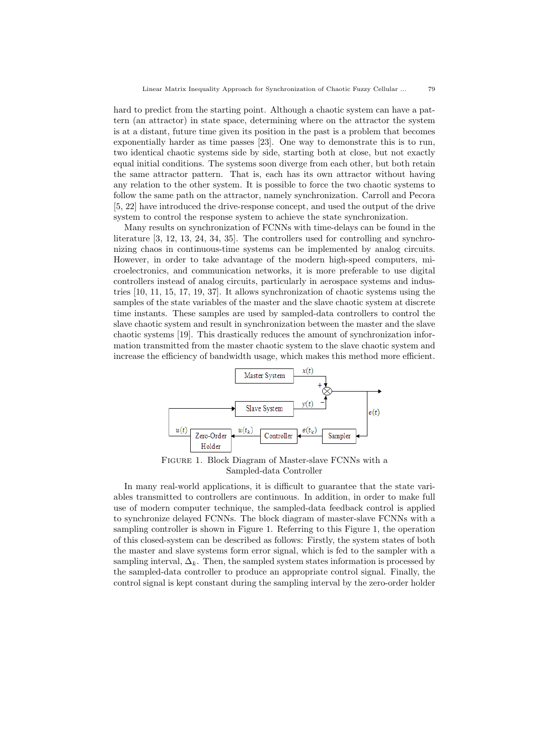hard to predict from the starting point. Although a chaotic system can have a pattern (an attractor) in state space, determining where on the attractor the system is at a distant, future time given its position in the past is a problem that becomes exponentially harder as time passes [23]. One way to demonstrate this is to run, two identical chaotic systems side by side, starting both at close, but not exactly equal initial conditions. The systems soon diverge from each other, but both retain the same attractor pattern. That is, each has its own attractor without having any relation to the other system. It is possible to force the two chaotic systems to follow the same path on the attractor, namely synchronization. Carroll and Pecora [5, 22] have introduced the drive-response concept, and used the output of the drive system to control the response system to achieve the state synchronization.

Many results on synchronization of FCNNs with time-delays can be found in the literature [3, 12, 13, 24, 34, 35]. The controllers used for controlling and synchronizing chaos in continuous-time systems can be implemented by analog circuits. However, in order to take advantage of the modern high-speed computers, microelectronics, and communication networks, it is more preferable to use digital controllers instead of analog circuits, particularly in aerospace systems and industries [10, 11, 15, 17, 19, 37]. It allows synchronization of chaotic systems using the samples of the state variables of the master and the slave chaotic system at discrete time instants. These samples are used by sampled-data controllers to control the slave chaotic system and result in synchronization between the master and the slave chaotic systems [19]. This drastically reduces the amount of synchronization information transmitted from the master chaotic system to the slave chaotic system and increase the efficiency of bandwidth usage, which makes this method more efficient.



Figure 1. Block Diagram of Master-slave FCNNs with a Sampled-data Controller

In many real-world applications, it is difficult to guarantee that the state variables transmitted to controllers are continuous. In addition, in order to make full use of modern computer technique, the sampled-data feedback control is applied to synchronize delayed FCNNs. The block diagram of master-slave FCNNs with a sampling controller is shown in Figure 1. Referring to this Figure 1, the operation of this closed-system can be described as follows: Firstly, the system states of both the master and slave systems form error signal, which is fed to the sampler with a sampling interval,  $\Delta_k$ . Then, the sampled system states information is processed by the sampled-data controller to produce an appropriate control signal. Finally, the control signal is kept constant during the sampling interval by the zero-order holder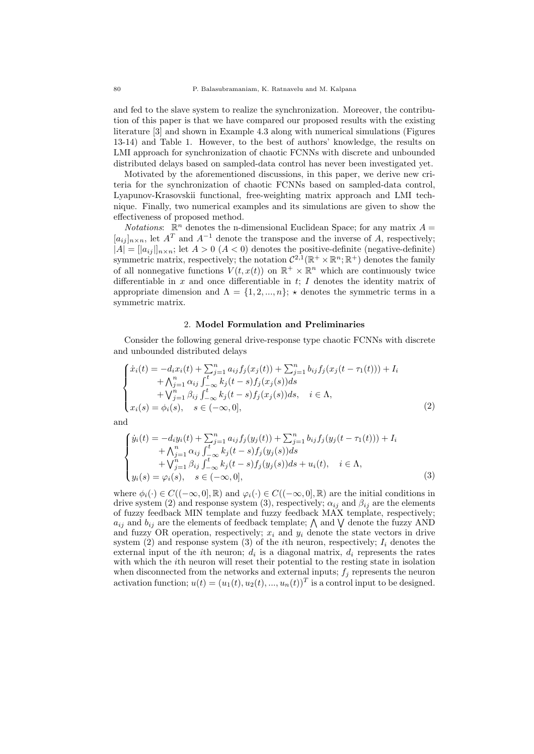and fed to the slave system to realize the synchronization. Moreover, the contribution of this paper is that we have compared our proposed results with the existing literature [3] and shown in Example 4.3 along with numerical simulations (Figures 13-14) and Table 1. However, to the best of authors' knowledge, the results on LMI approach for synchronization of chaotic FCNNs with discrete and unbounded distributed delays based on sampled-data control has never been investigated yet.

Motivated by the aforementioned discussions, in this paper, we derive new criteria for the synchronization of chaotic FCNNs based on sampled-data control, Lyapunov-Krasovskii functional, free-weighting matrix approach and LMI technique. Finally, two numerical examples and its simulations are given to show the effectiveness of proposed method.

*Notations*:  $\mathbb{R}^n$  denotes the n-dimensional Euclidean Space; for any matrix  $A =$  $[a_{ij}]_{n \times n}$ , let  $A<sup>T</sup>$  and  $A<sup>-1</sup>$  denote the transpose and the inverse of *A*, respectively;  $|A| = |a_{ij}|_{n \times n}$ ; let  $A > 0$  ( $A < 0$ ) denotes the positive-definite (negative-definite) symmetric matrix, respectively; the notation  $C^{2,1}(\mathbb{R}^+ \times \mathbb{R}^n; \mathbb{R}^+)$  denotes the family of all nonnegative functions  $V(t, x(t))$  on  $\mathbb{R}^+ \times \mathbb{R}^n$  which are continuously twice differentiable in *x* and once differentiable in *t*; *I* denotes the identity matrix of appropriate dimension and  $\Lambda = \{1, 2, ..., n\}$ ;  $\star$  denotes the symmetric terms in a symmetric matrix.

#### 2. **Model Formulation and Preliminaries**

Consider the following general drive-response type chaotic FCNNs with discrete and unbounded distributed delays

$$
\begin{cases}\n\dot{x}_i(t) = -d_i x_i(t) + \sum_{j=1}^n a_{ij} f_j(x_j(t)) + \sum_{j=1}^n b_{ij} f_j(x_j(t - \tau_1(t))) + I_i \\
\quad + \Lambda_{j=1}^n \alpha_{ij} \int_{-\infty}^t k_j(t - s) f_j(x_j(s)) ds \\
\quad + \bigvee_{j=1}^n \beta_{ij} \int_{-\infty}^t k_j(t - s) f_j(x_j(s)) ds, \quad i \in \Lambda, \\
x_i(s) = \phi_i(s), \quad s \in (-\infty, 0],\n\end{cases} \tag{2}
$$

and

$$
\begin{cases}\n\dot{y}_i(t) = -d_i y_i(t) + \sum_{j=1}^n a_{ij} f_j(y_j(t)) + \sum_{j=1}^n b_{ij} f_j(y_j(t - \tau_1(t))) + I_i \\
\quad + \bigwedge_{j=1}^n \alpha_{ij} \int_{-\infty}^t k_j(t - s) f_j(y_j(s)) ds \\
\quad + \bigvee_{j=1}^n \beta_{ij} \int_{-\infty}^t k_j(t - s) f_j(y_j(s)) ds + u_i(t), \quad i \in \Lambda, \\
y_i(s) = \varphi_i(s), \quad s \in (-\infty, 0],\n\end{cases} \tag{3}
$$

where  $\phi_i(\cdot) \in C((-\infty,0], \mathbb{R})$  and  $\varphi_i(\cdot) \in C((-\infty,0], \mathbb{R})$  are the initial conditions in drive system (2) and response system (3), respectively;  $\alpha_{ij}$  and  $\beta_{ij}$  are the elements of fuzzy feedback MIN template and fuzzy feedback MAX template, respectively;  $a_{ij}$  and  $b_{ij}$  are the elements of feedback template;  $\wedge$  and  $\vee$  denote the fuzzy AND and fuzzy OR operation, respectively;  $x_i$  and  $y_i$  denote the state vectors in drive system  $(2)$  and response system  $(3)$  of the *i*th neuron, respectively;  $I_i$  denotes the external input of the *i*th neuron;  $d_i$  is a diagonal matrix,  $d_i$  represents the rates with which the *i*th neuron will reset their potential to the resting state in isolation when disconnected from the networks and external inputs;  $f_j$  represents the neuron activation function;  $u(t) = (u_1(t), u_2(t), ..., u_n(t))^T$  is a control input to be designed.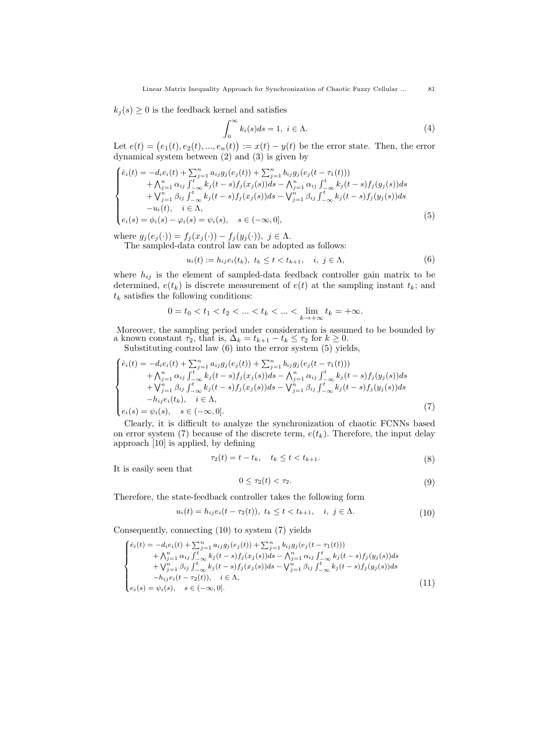$k_j(s) \geq 0$  is the feedback kernel and satisfies

$$
\int_0^\infty k_i(s)ds = 1, \ i \in \Lambda. \tag{4}
$$

Let  $e(t) = (e_1(t), e_2(t), ..., e_n(t)) := x(t) - y(t)$  be the error state. Then, the error dynamical system between (2) and (3) is given by

$$
\begin{cases}\n\dot{e}_i(t) = -d_i e_i(t) + \sum_{j=1}^n a_{ij} g_j(e_j(t)) + \sum_{j=1}^n b_{ij} g_j(e_j(t-\tau_1(t))) \\
+ \Lambda_{j=1}^n \alpha_{ij} \int_{-\infty}^t k_j(t-s) f_j(x_j(s)) ds - \Lambda_{j=1}^n \alpha_{ij} \int_{-\infty}^t k_j(t-s) f_j(y_j(s)) ds \\
+ \bigvee_{j=1}^n \beta_{ij} \int_{-\infty}^t k_j(t-s) f_j(x_j(s)) ds - \bigvee_{j=1}^n \beta_{ij} \int_{-\infty}^t k_j(t-s) f_j(y_j(s)) ds \\
-u_i(t), \quad i \in \Lambda, \\
e_i(s) = \phi_i(s) - \varphi_i(s) = \psi_i(s), \quad s \in (-\infty, 0],\n\end{cases} (5)
$$

where  $g_j(e_j(\cdot)) = f_j(x_j(\cdot)) - f_j(y_j(\cdot)), \ j \in \Lambda.$ 

The sampled-data control law can be adopted as follows:

$$
u_i(t) := h_{ij}e_i(t_k), \ t_k \le t < t_{k+1}, \quad i, \ j \in \Lambda,\tag{6}
$$

where  $h_{ij}$  is the element of sampled-data feedback controller gain matrix to be determined,  $e(t_k)$  is discrete measurement of  $e(t)$  at the sampling instant  $t_k$ ; and  $t_k$  satisfies the following conditions:

$$
0 = t_0 < t_1 < t_2 < \dots < t_k < \dots < \lim_{k \to +\infty} t_k = +\infty.
$$

Moreover, the sampling period under consideration is assumed to be bounded by a known constant  $\tau_2$ , that is,  $\Delta_k = t_{k+1} - t_k \leq \tau_2$  for  $k \geq 0$ .

Substituting control law (6) into the error system (5) yields,

$$
\begin{cases}\n\dot{e}_i(t) = -d_i e_i(t) + \sum_{j=1}^n a_{ij} g_j(e_j(t)) + \sum_{j=1}^n b_{ij} g_j(e_j(t - \tau_1(t))) \\
+ \bigwedge_{j=1}^n \alpha_{ij} \int_{-\infty}^t k_j(t - s) f_j(x_j(s)) ds - \bigwedge_{j=1}^n \alpha_{ij} \int_{-\infty}^t k_j(t - s) f_j(y_j(s)) ds \\
+ \bigvee_{j=1}^n \beta_{ij} \int_{-\infty}^t k_j(t - s) f_j(x_j(s)) ds - \bigvee_{j=1}^n \beta_{ij} \int_{-\infty}^t k_j(t - s) f_j(y_j(s)) ds \\
-h_{ij} e_i(t_k), \quad i \in \Lambda, \\
e_i(s) = \psi_i(s), \quad s \in (-\infty, 0].\n\end{cases} (7)
$$

Clearly, it is difficult to analyze the synchronization of chaotic FCNNs based on error system (7) because of the discrete term,  $e(t_k)$ . Therefore, the input delay approach [10] is applied, by defining

$$
\tau_2(t) = t - t_k, \quad t_k \le t < t_{k+1}.\tag{8}
$$

It is easily seen that

$$
0 \le \tau_2(t) < \tau_2. \tag{9}
$$

Therefore, the state-feedback controller takes the following form

$$
u_i(t) = h_{ij}e_i(t - \tau_2(t)), \ t_k \le t < t_{k+1}, \quad i, \ j \in \Lambda. \tag{10}
$$

Consequently, connecting (10) to system (7) yields

$$
\begin{cases}\n\dot{e}_i(t) = -d_i e_i(t) + \sum_{j=1}^n a_{ij} g_j(e_j(t)) + \sum_{j=1}^n b_{ij} g_j(e_j(t-\tau_1(t))) \\
+ \Lambda_{j=1}^n \alpha_{ij} \int_{-\infty}^t k_j(t-s) f_j(x_j(s)) ds - \Lambda_{j=1}^n \alpha_{ij} \int_{-\infty}^t k_j(t-s) f_j(y_j(s)) ds \\
+ \nabla_{j=1}^n \beta_{ij} \int_{-\infty}^t k_j(t-s) f_j(x_j(s)) ds - \nabla_{j=1}^n \beta_{ij} \int_{-\infty}^t k_j(t-s) f_j(y_j(s)) ds \\
-h_{ij} e_i(t-\tau_2(t)), \quad i \in \Lambda, \\
e_i(s) = \psi_i(s), \quad s \in (-\infty, 0].\n\end{cases} \tag{11}
$$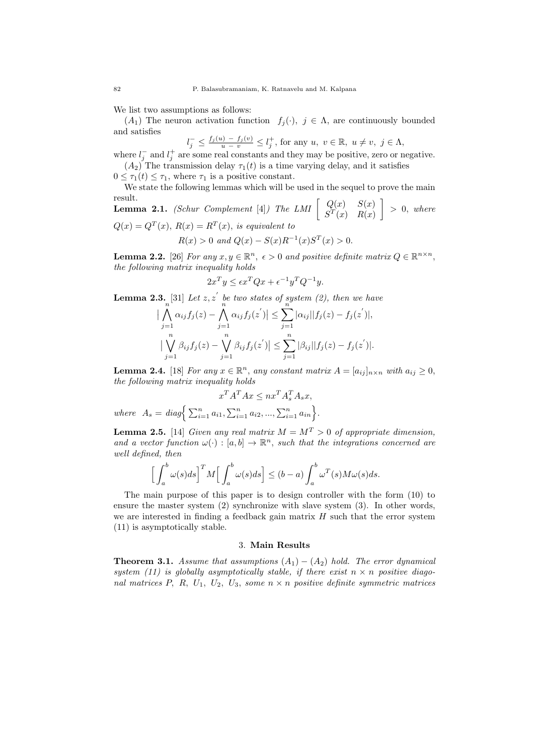We list two assumptions as follows:

(*A*<sub>1</sub>) The neuron activation function  $f_j(\cdot)$ ,  $j \in \Lambda$ , are continuously bounded and satisfies

$$
l_j^- \leq \frac{f_j(u) - f_j(v)}{u - v} \leq l_j^+
$$
, for any  $u, v \in \mathbb{R}$ ,  $u \neq v, j \in \Lambda$ ,  
we can be used so that each that may be positive, one on no

where  $l_j^-$  and  $l_j^+$  are some real constants and they may be positive, zero or negative.  $(A_2)$  The transmission delay  $\tau_1(t)$  is a time varying delay, and it satisfies

 $0 \leq \tau_1(t) \leq \tau_1$ , where  $\tau_1$  is a positive constant.

We state the following lemmas which will be used in the sequel to prove the main result. ]

**Lemma 2.1.** *(Schur Complement* [4]*) The LMI*  $\begin{bmatrix} Q(x) & S(x) \\ cT(x) & P(x) \end{bmatrix}$  $S<sup>T</sup>(x)$  *R*(*x*) *>* 0*, where*  $Q(x) = Q^T(x), R(x) = R^T(x),$  *is equivalent to* 

$$
R(x) > 0 \text{ and } Q(x) - S(x)R^{-1}(x)S^{T}(x) > 0.
$$

**Lemma 2.2.** [26] *For any*  $x, y \in \mathbb{R}^n$ ,  $\epsilon > 0$  *and positive definite matrix*  $Q \in \mathbb{R}^{n \times n}$ , *the following matrix inequality holds*

$$
2x^T y \le \epsilon x^T Q x + \epsilon^{-1} y^T Q^{-1} y.
$$

**Lemma 2.3.** [31] *Let*  $z, z'$  *be two states of system (2), then we have* 

$$
\left| \bigwedge_{j=1}^{n} \alpha_{ij} f_j(z) - \bigwedge_{j=1}^{n} \alpha_{ij} f_j(z') \right| \leq \sum_{j=1}^{n} |\alpha_{ij}| |f_j(z) - f_j(z')|,
$$
  

$$
\left| \bigvee_{j=1}^{n} \beta_{ij} f_j(z) - \bigvee_{j=1}^{n} \beta_{ij} f_j(z') \right| \leq \sum_{j=1}^{n} |\beta_{ij}| |f_j(z) - f_j(z')|.
$$

**Lemma 2.4.** [18] *For any*  $x \in \mathbb{R}^n$ *, any constant matrix*  $A = [a_{ij}]_{n \times n}$  *with*  $a_{ij} \ge 0$ *, the following matrix inequality holds*

$$
x^T A^T A x \le nx^T A_s^T A_s x,
$$

 $where \quad A_s = diag\Big\{\sum_{i=1}^n a_{i1}, \sum_{i=1}^n a_{i2}, ..., \sum_{i=1}^n a_{in}\Big\}.$ 

**Lemma 2.5.** [14] *Given any real matrix*  $M = M^T > 0$  *of appropriate dimension, and a vector function*  $\omega(\cdot) : [a, b] \to \mathbb{R}^n$ , such that the integrations concerned are *well defined, then*

$$
\Big[\int_a^b \omega(s)ds\Big]^T M \Big[\int_a^b \omega(s)ds\Big] \le (b-a)\int_a^b \omega^T(s)M\omega(s)ds.
$$

The main purpose of this paper is to design controller with the form (10) to ensure the master system (2) synchronize with slave system (3). In other words, we are interested in finding a feedback gain matrix *H* such that the error system (11) is asymptotically stable.

## 3. **Main Results**

**Theorem 3.1.** *Assume that assumptions*  $(A_1) - (A_2)$  *hold. The error dynamical* system (11) is globally asymptotically stable, if there exist  $n \times n$  positive diago*nal matrices P, R, U*1*, U*2*, U*3*, some n × n positive definite symmetric matrices*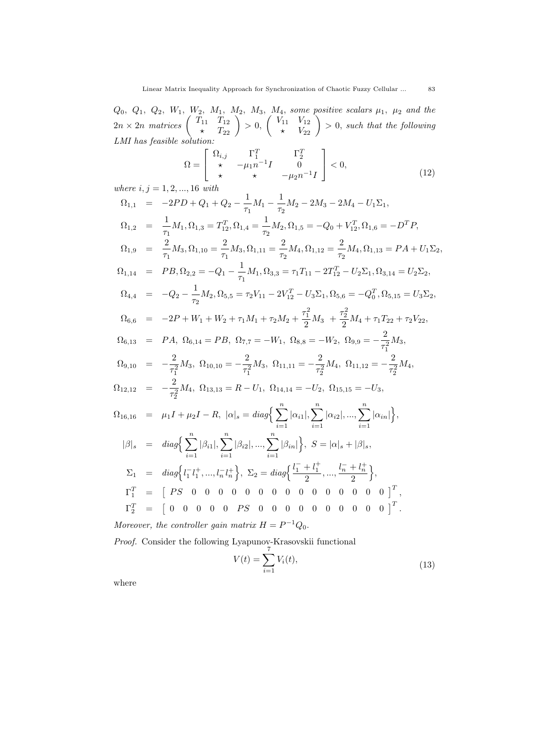$Q_0, Q_1, Q_2, W_1, W_2, M_1, M_2, M_3, M_4$ , some positive scalars  $\mu_1, \mu_2$  and the  $2n \times 2n$  matrices  $\begin{pmatrix} T_{11} & T_{12} \\ \star & T_{22} \end{pmatrix} > 0,$  $\begin{pmatrix} V_{11} & V_{12} \ \star & V_{22} \end{pmatrix} > 0$ , such that the following *LMI has feasible solution:*

$$
\Omega = \begin{bmatrix} \Omega_{i,j} & \Gamma_1^T & \Gamma_2^T \\ \star & -\mu_1 n^{-1} I & 0 \\ \star & \star & -\mu_2 n^{-1} I \end{bmatrix} < 0,
$$
  
where  $i, j = 1, 2, ..., 16$  with (12)

$$
\Omega_{1,1} = -2PD + Q_1 + Q_2 - \frac{1}{\tau_1}M_1 - \frac{1}{\tau_2}M_2 - 2M_3 - 2M_4 - U_1\Sigma_1,
$$
  
\n
$$
\Omega_{1,2} = \frac{1}{\tau_1}M_1, \Omega_{1,3} = T_{12}^T, \Omega_{1,4} = \frac{1}{\tau_2}M_2, \Omega_{1,5} = -Q_0 + V_{12}^T, \Omega_{1,6} = -D^T P,
$$
  
\n
$$
\Omega_{1,9} = \frac{2}{\tau_1}M_3, \Omega_{1,10} = \frac{2}{\tau_1}M_3, \Omega_{1,11} = \frac{2}{\tau_2}M_4, \Omega_{1,12} = \frac{2}{\tau_2}M_4, \Omega_{1,13} = PA + U_1\Sigma_2,
$$
  
\n
$$
\Omega_{1,14} = PB, \Omega_{2,2} = -Q_1 - \frac{1}{\tau_1}M_1, \Omega_{3,3} = \tau_1T_{11} - 2T_{12}^T - U_2\Sigma_1, \Omega_{3,14} = U_2\Sigma_2,
$$
  
\n
$$
\Omega_{4,4} = -Q_2 - \frac{1}{\tau_2}M_2, \Omega_{5,5} = \tau_2V_{11} - 2V_{12}^T - U_3\Sigma_1, \Omega_{5,6} = -Q_0^T, \Omega_{5,15} = U_3\Sigma_2,
$$
  
\n
$$
\Omega_{6,6} = -2P + W_1 + W_2 + \tau_1M_1 + \tau_2M_2 + \frac{\tau_1^2}{2}M_3 + \frac{\tau_2^2}{2}M_4 + \tau_1T_{22} + \tau_2V_{22},
$$
  
\n
$$
\Omega_{6,13} = PA, \Omega_{6,14} = PB, \Omega_{7,7} = -W_1, \Omega_{8,8} = -W_2, \Omega_{9,9} = -\frac{2}{\tau_1^2}M_3,
$$
  
\n
$$
\Omega_{9,10} = -\frac{2}{\tau_1^2}M_3, \Omega_{10,10} = -\frac{2}{\tau_1^2}M_3, \Omega_{11,11} = -\frac{2}{\tau_
$$

*Proof.* Consider the following Lyapunov-Krasovskii functional

$$
V(t) = \sum_{i=1}^{t} V_i(t),
$$
\n(13)

where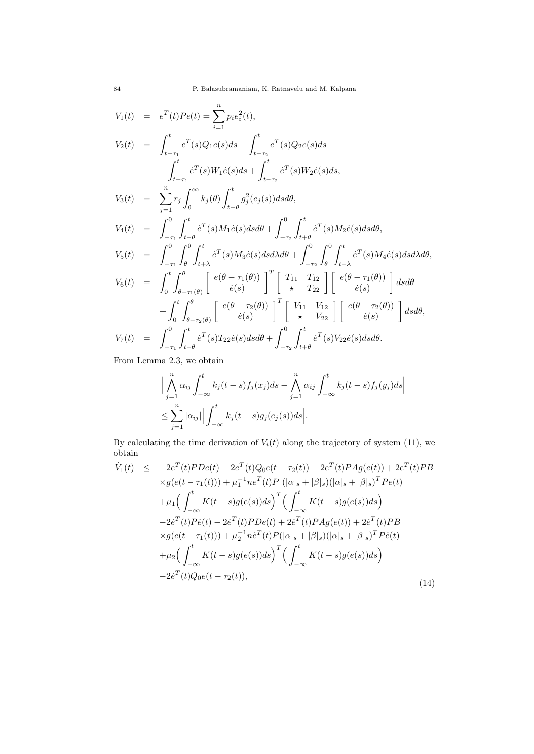$$
V_{1}(t) = e^{T}(t)Pe(t) = \sum_{i=1}^{n} p_{i}e_{i}^{2}(t),
$$
  
\n
$$
V_{2}(t) = \int_{t-\tau_{1}}^{t} e^{T}(s)Q_{1}e(s)ds + \int_{t-\tau_{2}}^{t} e^{T}(s)Q_{2}e(s)ds
$$
  
\n
$$
+ \int_{t-\tau_{1}}^{t} e^{T}(s)W_{1}\dot{e}(s)ds + \int_{t-\tau_{2}}^{t} e^{T}(s)W_{2}\dot{e}(s)ds,
$$
  
\n
$$
V_{3}(t) = \sum_{j=1}^{n} r_{j} \int_{0}^{\infty} k_{j}(\theta) \int_{t-\theta}^{t} g_{j}^{2}(e_{j}(s))dsd\theta,
$$
  
\n
$$
V_{4}(t) = \int_{-\tau_{1}}^{0} \int_{t+\theta}^{t} e^{T}(s)M_{1}\dot{e}(s)dsd\theta + \int_{-\tau_{2}}^{0} \int_{t+\theta}^{t} e^{T}(s)M_{2}\dot{e}(s)dsd\theta,
$$
  
\n
$$
V_{5}(t) = \int_{-\tau_{1}}^{0} \int_{\theta}^{0} \int_{t+\lambda}^{t} e^{T}(s)M_{3}\dot{e}(s)dsd\lambda d\theta + \int_{-\tau_{2}}^{0} \int_{\theta}^{t} \int_{t+\lambda}^{t} e^{T}(s)M_{4}\dot{e}(s)dsd\lambda d\theta,
$$
  
\n
$$
V_{6}(t) = \int_{0}^{t} \int_{\theta-\tau_{1}(\theta)}^{\theta} \left[ e(\theta-\tau_{1}(\theta)) \right]^{T} \left[ \begin{array}{cc} T_{11} & T_{12} \\ \star & T_{22} \end{array} \right] \left[ \begin{array}{c} e(\theta-\tau_{1}(\theta)) \\ \dot{e}(s) \end{array} \right] dsd\theta
$$
  
\n
$$
+ \int_{0}^{t} \int_{\theta-\tau_{2}(\theta)}^{\theta} \left[ e(\theta-\tau_{2}(\theta)) \right]^{T} \left[ \begin{array}{c} V_{11} & V_{12} \\ \star & V_{22} \end{array} \right] \left[ \begin{array}{c} e(\theta-\tau_{2}(\theta)) \\ \dot{e}(s) \end
$$

From Lemma 2.3, we obtain

$$
\left| \bigwedge_{j=1}^{n} \alpha_{ij} \int_{-\infty}^{t} k_j(t-s) f_j(x_j) ds - \bigwedge_{j=1}^{n} \alpha_{ij} \int_{-\infty}^{t} k_j(t-s) f_j(y_j) ds \right|
$$
  

$$
\leq \sum_{j=1}^{n} |\alpha_{ij}| \left| \int_{-\infty}^{t} k_j(t-s) g_j(e_j(s)) ds \right|.
$$

By calculating the time derivation of  $V_i(t)$  along the trajectory of system (11), we obtain

$$
\dot{V}_{1}(t) \leq -2e^{T}(t)PDe(t) - 2e^{T}(t)Q_{0}e(t - \tau_{2}(t)) + 2e^{T}(t)PAg(e(t)) + 2e^{T}(t)PB \times g(e(t - \tau_{1}(t))) + \mu_{1}^{-1}ne^{T}(t)P(|\alpha|_{s} + |\beta|_{s})(|\alpha|_{s} + |\beta|_{s})^{T}Pe(t) \n+ \mu_{1} \Big( \int_{-\infty}^{t} K(t - s)g(e(s))ds \Big)^{T} \Big( \int_{-\infty}^{t} K(t - s)g(e(s))ds \Big) \n- 2e^{T}(t)P\dot{e}(t) - 2e^{T}(t)PDe(t) + 2e^{T}(t)PAg(e(t)) + 2e^{T}(t)PB \times g(e(t - \tau_{1}(t))) + \mu_{2}^{-1}ne^{T}(t)P(|\alpha|_{s} + |\beta|_{s})(|\alpha|_{s} + |\beta|_{s})^{T}Pe(t) \n+ \mu_{2} \Big( \int_{-\infty}^{t} K(t - s)g(e(s))ds \Big)^{T} \Big( \int_{-\infty}^{t} K(t - s)g(e(s))ds \Big) \n- 2e^{T}(t)Q_{0}e(t - \tau_{2}(t)), \tag{14}
$$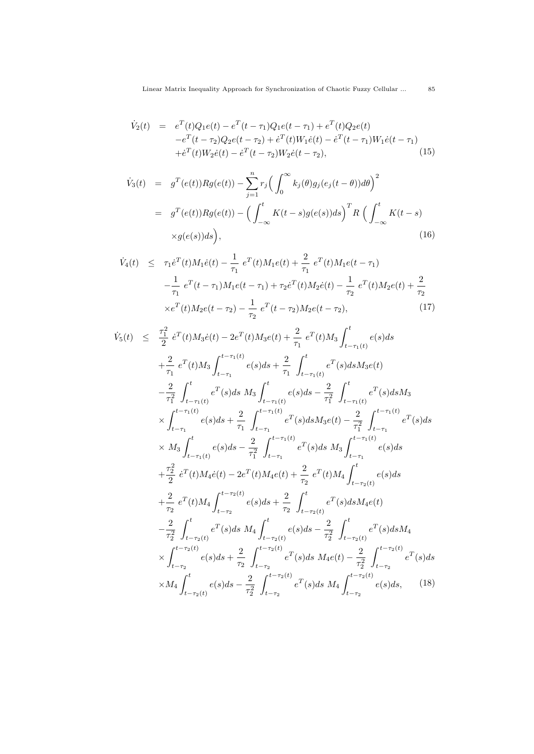$$
\dot{V}_2(t) = e^T(t)Q_1e(t) - e^T(t - \tau_1)Q_1e(t - \tau_1) + e^T(t)Q_2e(t) \n- e^T(t - \tau_2)Q_2e(t - \tau_2) + e^T(t)W_1\dot{e}(t) - e^T(t - \tau_1)W_1\dot{e}(t - \tau_1) \n+ e^T(t)W_2\dot{e}(t) - e^T(t - \tau_2)W_2\dot{e}(t - \tau_2),
$$
\n(15)

$$
\dot{V}_3(t) = g^T(e(t))Rg(e(t)) - \sum_{j=1}^n r_j \left( \int_0^\infty k_j(\theta)g_j(e_j(t-\theta))d\theta \right)^2
$$
  
\n
$$
= g^T(e(t))Rg(e(t)) - \left( \int_{-\infty}^t K(t-s)g(e(s))ds \right)^T R \left( \int_{-\infty}^t K(t-s) \times g(e(s))ds \right), \tag{16}
$$

$$
\dot{V}_4(t) \leq \tau_1 \dot{e}^T(t) M_1 \dot{e}(t) - \frac{1}{\tau_1} e^T(t) M_1 e(t) + \frac{2}{\tau_1} e^T(t) M_1 e(t - \tau_1) \n- \frac{1}{\tau_1} e^T(t - \tau_1) M_1 e(t - \tau_1) + \tau_2 \dot{e}^T(t) M_2 \dot{e}(t) - \frac{1}{\tau_2} e^T(t) M_2 e(t) + \frac{2}{\tau_2} \n\times e^T(t) M_2 e(t - \tau_2) - \frac{1}{\tau_2} e^T(t - \tau_2) M_2 e(t - \tau_2),
$$
\n(17)

$$
\begin{array}{rcl}\n\dot{V}_{5}(t) & \leq & \frac{\tau_{1}^{2}}{2} \, e^{T}(t)M_{3}\dot{e}(t) - 2e^{T}(t)M_{3}\dot{e}(t) + \frac{2}{\tau_{1}} \, e^{T}(t)M_{3} \int_{t-\tau_{1}(t)}^{t} e(s)ds \\
& & + \frac{2}{\tau_{1}} \, e^{T}(t)M_{3} \int_{t-\tau_{1}}^{t-\tau_{1}(t)} e(s)ds + \frac{2}{\tau_{1}} \, \int_{t-\tau_{1}(t)}^{t} e^{T}(s)dsM_{3}\dot{e}(t) \\
& & - \frac{2}{\tau_{1}^{2}} \, \int_{t-\tau_{1}(t)}^{t} e^{T}(s)ds \, M_{3} \int_{t-\tau_{1}(t)}^{t} e(s)ds - \frac{2}{\tau_{1}^{2}} \, \int_{t-\tau_{1}(t)}^{t} e^{T}(s)dsM_{3} \\
& & \times \int_{t-\tau_{1}}^{t-\tau_{1}(t)} e(s)ds + \frac{2}{\tau_{1}} \, \int_{t-\tau_{1}}^{t-\tau_{1}(t)} e^{T}(s)dsM_{3}\dot{e}(t) - \frac{2}{\tau_{1}^{2}} \, \int_{t-\tau_{1}}^{t-\tau_{1}(t)} e^{T}(s)ds \\
& & \times M_{3} \int_{t-\tau_{1}(t)}^{t} e(s)ds - \frac{2}{\tau_{1}^{2}} \, \int_{t-\tau_{1}}^{t-\tau_{1}(t)} e^{T}(s)ds \, M_{3} \int_{t-\tau_{1}}^{t-\tau_{1}(t)} e(s)ds \\
& & + \frac{\tau_{2}^{2}}{2} \, e^{T}(t)M_{4}\dot{e}(t) - 2e^{T}(t)M_{4}\dot{e}(t) + \frac{2}{\tau_{2}} \, e^{T}(t)M_{4} \int_{t-\tau_{2}(t)}^{t} e(s)ds \\
& & + \frac{2}{\tau_{2}} \, e^{T}(t)M_{4} \int_{t-\tau_{2}}^{t-\tau_{2}(t)} e(s)ds + \frac{2}{\tau_{2}} \, \int_{t-\tau_{2}(t)}^{t} e^{T}(s)dsM_{4}\dot{e}(t) \\
& & - \frac{2}{\tau_{2}^{2}} \, \int_{t-\tau
$$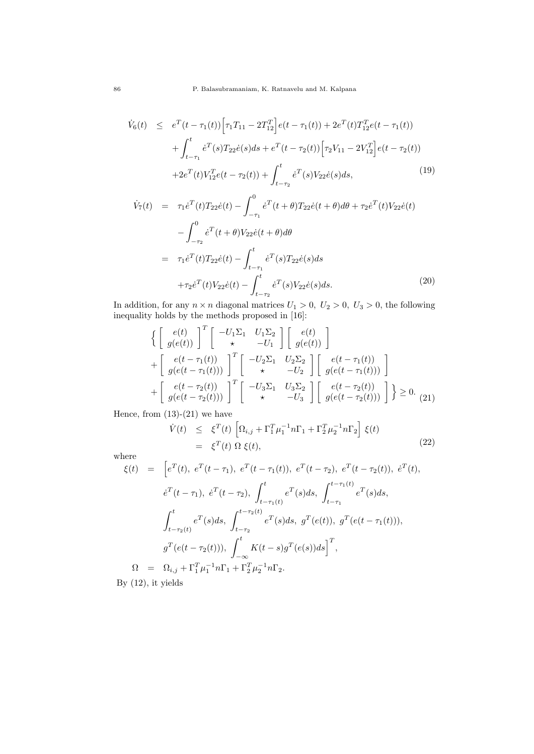$$
\dot{V}_6(t) \leq e^T(t - \tau_1(t)) \Big[ \tau_1 T_{11} - 2T_{12}^T \Big] e(t - \tau_1(t)) + 2e^T(t) T_{12}^T e(t - \tau_1(t)) \n+ \int_{t - \tau_1}^t e^T(s) T_{22} \dot{e}(s) ds + e^T(t - \tau_2(t)) \Big[ \tau_2 V_{11} - 2V_{12}^T \Big] e(t - \tau_2(t)) \n+ 2e^T(t) V_{12}^T e(t - \tau_2(t)) + \int_{t - \tau_2}^t e^T(s) V_{22} \dot{e}(s) ds,
$$
\n(19)

$$
\dot{V}_7(t) = \tau_1 \dot{e}^T(t) T_{22} \dot{e}(t) - \int_{-\tau_1}^0 \dot{e}^T(t+\theta) T_{22} \dot{e}(t+\theta) d\theta + \tau_2 \dot{e}^T(t) V_{22} \dot{e}(t) \n- \int_{-\tau_2}^0 \dot{e}^T(t+\theta) V_{22} \dot{e}(t+\theta) d\theta \n= \tau_1 \dot{e}^T(t) T_{22} \dot{e}(t) - \int_{t-\tau_1}^t \dot{e}^T(s) T_{22} \dot{e}(s) ds \n+ \tau_2 \dot{e}^T(t) V_{22} \dot{e}(t) - \int_{t-\tau_2}^t \dot{e}^T(s) V_{22} \dot{e}(s) ds.
$$
\n(20)

In addition, for any  $n \times n$  diagonal matrices  $U_1 > 0$ ,  $U_2 > 0$ ,  $U_3 > 0$ , the following inequality holds by the methods proposed in [16]:

$$
\left\{ \begin{bmatrix} e(t) \\ g(e(t)) \end{bmatrix}^T \begin{bmatrix} -U_1 \Sigma_1 & U_1 \Sigma_2 \\ \star & -U_1 \end{bmatrix} \begin{bmatrix} e(t) \\ g(e(t)) \end{bmatrix} \right\} + \begin{bmatrix} e(t - \tau_1(t)) \\ g(e(t - \tau_1(t))) \end{bmatrix}^T \begin{bmatrix} -U_2 \Sigma_1 & U_2 \Sigma_2 \\ \star & -U_2 \end{bmatrix} \begin{bmatrix} e(t - \tau_1(t)) \\ g(e(t - \tau_1(t))) \end{bmatrix} + \begin{bmatrix} e(t - \tau_2(t)) \\ g(e(t - \tau_2(t))) \end{bmatrix}^T \begin{bmatrix} -U_3 \Sigma_1 & U_3 \Sigma_2 \\ \star & -U_3 \end{bmatrix} \begin{bmatrix} e(t - \tau_2(t)) \\ g(e(t - \tau_2(t))) \end{bmatrix} \right\} \ge 0.
$$
 (21)

Hence, from  $(13)-(21)$  we have

$$
\dot{V}(t) \leq \xi^T(t) \left[ \Omega_{i,j} + \Gamma_1^T \mu_1^{-1} n \Gamma_1 + \Gamma_2^T \mu_2^{-1} n \Gamma_2 \right] \xi(t)
$$
\n
$$
= \xi^T(t) \Omega \xi(t), \tag{22}
$$

where

$$
\xi(t) = \left[e^{T}(t), e^{T}(t-\tau_{1}), e^{T}(t-\tau_{1}(t)), e^{T}(t-\tau_{2}), e^{T}(t-\tau_{2}(t)), e^{T}(t),\right.\n\dot{e}^{T}(t-\tau_{1}), \dot{e}^{T}(t-\tau_{2}), \int_{t-\tau_{1}(t)}^{t} e^{T}(s)ds, \int_{t-\tau_{1}}^{t-\tau_{1}(t)} e^{T}(s)ds,\n\int_{t-\tau_{2}(t)}^{t} e^{T}(s)ds, \int_{t-\tau_{2}}^{t-\tau_{2}(t)} e^{T}(s)ds, g^{T}(e(t)), g^{T}(e(t-\tau_{1}(t))),\ng^{T}(e(t-\tau_{2}(t))), \int_{-\infty}^{t} K(t-s)g^{T}(e(s))ds\right]^{T},\n\Omega = \Omega_{i,j} + \Gamma_{1}^{T} \mu_{1}^{-1} n \Gamma_{1} + \Gamma_{2}^{T} \mu_{2}^{-1} n \Gamma_{2}.
$$
  
\nBy (12), it yields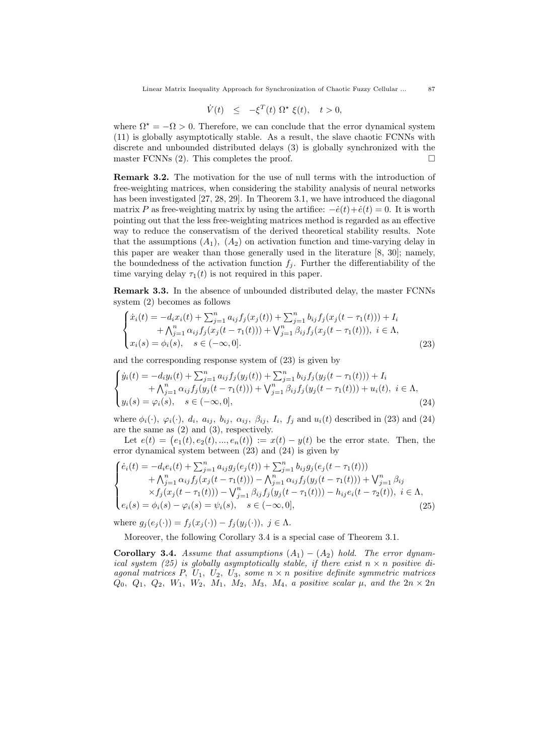$$
\dot{V}(t) \le -\xi^T(t) \ \Omega^\star \ \xi(t), \quad t > 0,
$$

where  $\Omega^* = -\Omega > 0$ . Therefore, we can conclude that the error dynamical system (11) is globally asymptotically stable. As a result, the slave chaotic FCNNs with discrete and unbounded distributed delays (3) is globally synchronized with the master FCNNs  $(2)$ . This completes the proof.

**Remark 3.2.** The motivation for the use of null terms with the introduction of free-weighting matrices, when considering the stability analysis of neural networks has been investigated [27, 28, 29]. In Theorem 3.1, we have introduced the diagonal matrix *P* as free-weighting matrix by using the artifice:  $-\dot{e}(t) + \dot{e}(t) = 0$ . It is worth pointing out that the less free-weighting matrices method is regarded as an effective way to reduce the conservatism of the derived theoretical stability results. Note that the assumptions  $(A_1)$ ,  $(A_2)$  on activation function and time-varying delay in this paper are weaker than those generally used in the literature [8, 30]; namely, the boundedness of the activation function  $f_i$ . Further the differentiability of the time varying delay  $\tau_1(t)$  is not required in this paper.

**Remark 3.3.** In the absence of unbounded distributed delay, the master FCNNs system (2) becomes as follows

$$
\begin{cases}\n\dot{x}_i(t) = -d_i x_i(t) + \sum_{j=1}^n a_{ij} f_j(x_j(t)) + \sum_{j=1}^n b_{ij} f_j(x_j(t - \tau_1(t))) + I_i \\
\quad + \bigwedge_{j=1}^n \alpha_{ij} f_j(x_j(t - \tau_1(t))) + \bigvee_{j=1}^n \beta_{ij} f_j(x_j(t - \tau_1(t))), \ i \in \Lambda, \\
x_i(s) = \phi_i(s), \quad s \in (-\infty, 0].\n\end{cases} \tag{23}
$$

and the corresponding response system of (23) is given by

$$
\begin{cases}\n\dot{y}_i(t) = -d_i y_i(t) + \sum_{j=1}^n a_{ij} f_j(y_j(t)) + \sum_{j=1}^n b_{ij} f_j(y_j(t - \tau_1(t))) + I_i \\
\quad + \bigwedge_{j=1}^n \alpha_{ij} f_j(y_j(t - \tau_1(t))) + \bigvee_{j=1}^n \beta_{ij} f_j(y_j(t - \tau_1(t))) + u_i(t), \ i \in \Lambda, \\
y_i(s) = \varphi_i(s), \quad s \in (-\infty, 0],\n\end{cases} (24)
$$

where  $\phi_i(\cdot)$ ,  $\varphi_i(\cdot)$ ,  $d_i$ ,  $a_{ij}$ ,  $b_{ij}$ ,  $\alpha_{ij}$ ,  $\beta_{ij}$ ,  $I_i$ ,  $f_j$  and  $u_i(t)$  described in (23) and (24) are the same as (2) and (3), respectively.

Let  $e(t) = (e_1(t), e_2(t), ..., e_n(t)) := x(t) - y(t)$  be the error state. Then, the error dynamical system between  $(23)$  and  $(24)$  is given by

$$
\begin{cases}\n\dot{e}_i(t) = -d_i e_i(t) + \sum_{j=1}^n a_{ij} g_j(e_j(t)) + \sum_{j=1}^n b_{ij} g_j(e_j(t - \tau_1(t))) \\
+ \Lambda_{j=1}^n \alpha_{ij} f_j(x_j(t - \tau_1(t))) - \Lambda_{j=1}^n \alpha_{ij} f_j(y_j(t - \tau_1(t))) + \Lambda_{j=1}^n \beta_{ij} \\
\times f_j(x_j(t - \tau_1(t))) - \Lambda_{j=1}^n \beta_{ij} f_j(y_j(t - \tau_1(t))) - h_{ij} e_i(t - \tau_2(t)), \quad i \in \Lambda, \\
e_i(s) = \phi_i(s) - \varphi_i(s) = \psi_i(s), \quad s \in (-\infty, 0],\n\end{cases} (25)
$$

where  $g_i(e_i(\cdot)) = f_i(x_i(\cdot)) - f_i(y_i(\cdot)), \ j \in \Lambda$ .

Moreover, the following Corollary 3.4 is a special case of Theorem 3.1.

**Corollary 3.4.** *Assume that assumptions*  $(A_1) - (A_2)$  *hold. The error dynamical system (25) is globally asymptotically stable, if there exist*  $n \times n$  positive di*agonal matrices P, U*1*, U*2*, U*3*, some n × n positive definite symmetric matrices*  $Q_0$ *,*  $Q_1$ *,*  $Q_2$ *,*  $W_1$ *,*  $W_2$ *,*  $M_1$ *,*  $M_2$ *,*  $M_3$ *,*  $M_4$ *, a positive scalar*  $\mu$ *,* and the  $2n \times 2n$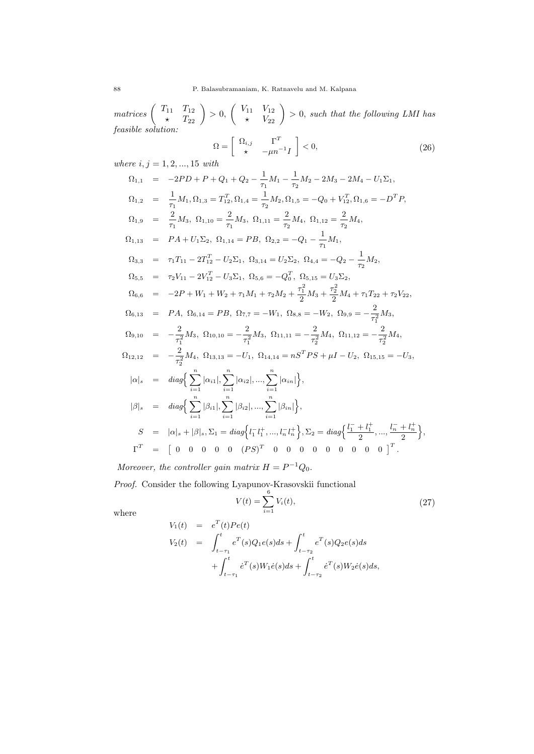$matrices \begin{pmatrix} T_{11} & T_{12} \\ \star & T_{22} \end{pmatrix} > 0,$  $\begin{pmatrix} V_{11} & V_{12} \\ * & V_{22} \end{pmatrix} > 0$ , such that the following LMI has *feasible solution:*

$$
\Omega = \left[ \begin{array}{cc} \Omega_{i,j} & \Gamma^T \\ \star & -\mu n^{-1} I \end{array} \right] < 0,\tag{26}
$$

*where i, j* = 1*,* 2*, ...,* 15 *with*

$$
\Omega_{1,1} = -2PD + P + Q_1 + Q_2 - \frac{1}{\tau_1} M_1 - \frac{1}{\tau_2} M_2 - 2M_3 - 2M_4 - U_1 \Sigma_1,
$$
  
\n
$$
\Omega_{1,2} = \frac{1}{\tau_1} M_1, \Omega_{1,3} = T_{1,2}^T, \Omega_{1,4} = \frac{1}{\tau_2} M_2, \Omega_{1,5} = -Q_0 + V_{1,2}^T, \Omega_{1,6} = -D^T P,
$$
  
\n
$$
\Omega_{1,9} = \frac{2}{\tau_1} M_3, \ \Omega_{1,10} = \frac{2}{\tau_1} M_3, \ \Omega_{1,11} = \frac{2}{\tau_2} M_4, \ \Omega_{1,12} = \frac{2}{\tau_2} M_4,
$$
  
\n
$$
\Omega_{1,13} = P A + U_1 \Sigma_2, \ \Omega_{1,14} = P B, \ \Omega_{2,2} = -Q_1 - \frac{1}{\tau_1} M_1,
$$
  
\n
$$
\Omega_{3,3} = \tau_1 T_{11} - 2T_{12}^T - U_2 \Sigma_1, \ \Omega_{3,14} = U_2 \Sigma_2, \ \Omega_{4,4} = -Q_2 - \frac{1}{\tau_2} M_2,
$$
  
\n
$$
\Omega_{5,5} = \tau_2 V_{11} - 2V_{12}^T - U_3 \Sigma_1, \ \Omega_{5,6} = -Q_0^T, \ \Omega_{5,15} = U_3 \Sigma_2,
$$
  
\n
$$
\Omega_{6,6} = -2P + W_1 + W_2 + \tau_1 M_1 + \tau_2 M_2 + \frac{\tau_1^2}{2} M_3 + \frac{\tau_2^2}{2} M_4 + \tau_1 T_{22} + \tau_2 V_{22},
$$
  
\n
$$
\Omega_{6,13} = P A, \ \Omega_{6,14} = P B, \ \Omega_{7,7} = -W_1, \ \Omega_{8,8} = -W_2, \ \Omega_{9,9} = -\frac{2}{\tau_1^2} M_3,
$$
  
\n
$$
\Omega_{9,10} = -\frac{2}{\tau_1^2} M_3, \ \Omega_{10,10} = -\frac{
$$

*Moreover, the controller gain matrix*  $H = P^{-1}Q_0$ .

*Proof.* Consider the following Lyapunov-Krasovskii functional

$$
V(t) = \sum_{i=1}^{6} V_i(t),
$$
\n(27)

where

$$
V_1(t) = e^T(t)Pe(t)
$$
  
\n
$$
V_2(t) = \int_{t-\tau_1}^t e^T(s)Q_1e(s)ds + \int_{t-\tau_2}^t e^T(s)Q_2e(s)ds
$$
  
\n
$$
+ \int_{t-\tau_1}^t e^T(s)W_1\dot{e}(s)ds + \int_{t-\tau_2}^t e^T(s)W_2\dot{e}(s)ds,
$$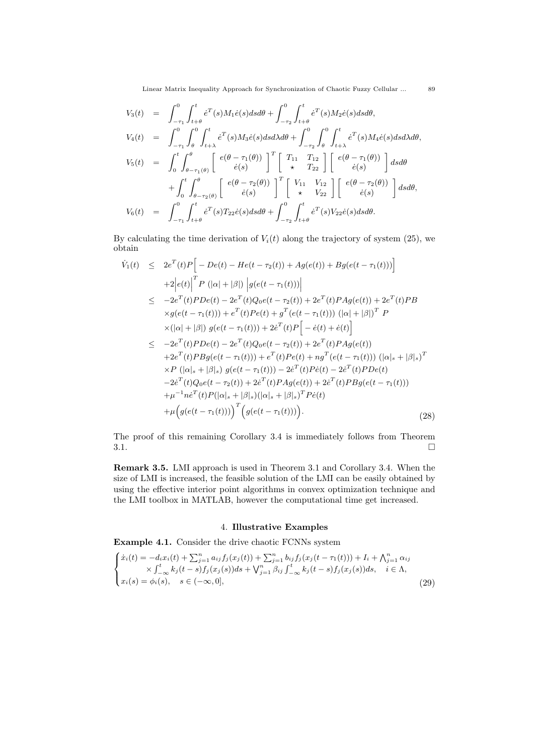$$
V_{3}(t) = \int_{-\tau_{1}}^{0} \int_{t+\theta}^{t} \dot{e}^{T}(s)M_{1}\dot{e}(s)dsd\theta + \int_{-\tau_{2}}^{0} \int_{t+\theta}^{t} \dot{e}^{T}(s)M_{2}\dot{e}(s)dsd\theta,
$$
  
\n
$$
V_{4}(t) = \int_{-\tau_{1}}^{0} \int_{\theta}^{0} \int_{t+\lambda}^{t} \dot{e}^{T}(s)M_{3}\dot{e}(s)dsd\lambda d\theta + \int_{-\tau_{2}}^{0} \int_{\theta}^{0} \int_{t+\lambda}^{t} \dot{e}^{T}(s)M_{4}\dot{e}(s)dsd\lambda d\theta,
$$
  
\n
$$
V_{5}(t) = \int_{0}^{t} \int_{\theta-\tau_{1}(\theta)}^{\theta} \left[ \begin{array}{c} e(\theta-\tau_{1}(\theta)) \\ \dot{e}(s) \end{array} \right]^{T} \left[ \begin{array}{cc} T_{11} & T_{12} \\ \star & T_{22} \end{array} \right] \left[ \begin{array}{c} e(\theta-\tau_{1}(\theta)) \\ \dot{e}(s) \end{array} \right] dsd\theta
$$
  
\n
$$
+ \int_{0}^{t} \int_{\theta-\tau_{2}(\theta)}^{\theta} \left[ \begin{array}{c} e(\theta-\tau_{2}(\theta)) \\ \dot{e}(s) \end{array} \right]^{T} \left[ \begin{array}{c} V_{11} & V_{12} \\ \star & V_{22} \end{array} \right] \left[ \begin{array}{c} e(\theta-\tau_{2}(\theta)) \\ \dot{e}(s) \end{array} \right] dsd\theta,
$$
  
\n
$$
V_{6}(t) = \int_{-\tau_{1}}^{0} \int_{t+\theta}^{t} \dot{e}^{T}(s)T_{22}\dot{e}(s)dsd\theta + \int_{-\tau_{2}}^{0} \int_{t+\theta}^{t} \dot{e}^{T}(s)V_{22}\dot{e}(s)dsd\theta.
$$

By calculating the time derivation of  $V_i(t)$  along the trajectory of system (25), we obtain

$$
\dot{V}_{1}(t) \leq 2e^{T}(t)P\Big[-De(t) - He(t-\tau_{2}(t)) + Ag(e(t)) + Bg(e(t-\tau_{1}(t)))\Big] \n+2|e(t)|^{T}P(|\alpha|+|\beta|) |g(e(t-\tau_{1}(t)))| \n\leq -2e^{T}(t)PDe(t) - 2e^{T}(t)Q_{0}e(t-\tau_{2}(t)) + 2e^{T}(t)PAg(e(t)) + 2e^{T}(t)PB \n\times g(e(t-\tau_{1}(t))) + e^{T}(t)Pe(t) + g^{T}(e(t-\tau_{1}(t))) (|\alpha|+|\beta|)^{T} P \n\times(|\alpha|+|\beta|) g(e(t-\tau_{1}(t))) + 2e^{T}(t)P\Big[-\dot{e}(t) + \dot{e}(t)\Big] \n\leq -2e^{T}(t)PDe(t) - 2e^{T}(t)Q_{0}e(t-\tau_{2}(t)) + 2e^{T}(t)PAg(e(t)) \n+2e^{T}(t)PBg(e(t-\tau_{1}(t))) + e^{T}(t)Pe(t) + ng^{T}(e(t-\tau_{1}(t))) (|\alpha|_{s}+|\beta|_{s})^{T} \n\times P (|\alpha|_{s}+|\beta|_{s}) g(e(t-\tau_{1}(t))) - 2e^{T}(t)Pe(t) - 2e^{T}(t)PDe(t) \n-2e^{T}(t)Q_{0}e(t-\tau_{2}(t)) + 2e^{T}(t)PAg(e(t)) + 2e^{T}(t)PBg(e(t-\tau_{1}(t))) \n\t+ \mu^{-1}ne^{T}(t)P(|\alpha|_{s}+|\beta|_{s})(|\alpha|_{s}+|\beta|_{s})^{T}Pe(t) \n+ \mu(g(e(t-\tau_{1}(t)))\Big)^{T}(g(e(t-\tau_{1}(t))))).
$$
\n(28)

The proof of this remaining Corollary 3.4 is immediately follows from Theorem  $3.1.$ 

**Remark 3.5.** LMI approach is used in Theorem 3.1 and Corollary 3.4. When the size of LMI is increased, the feasible solution of the LMI can be easily obtained by using the effective interior point algorithms in convex optimization technique and the LMI toolbox in MATLAB, however the computational time get increased.

# 4. **Illustrative Examples**

**Example 4.1.** Consider the drive chaotic FCNNs system

$$
\begin{cases}\n\dot{x}_i(t) = -d_i x_i(t) + \sum_{j=1}^n a_{ij} f_j(x_j(t)) + \sum_{j=1}^n b_{ij} f_j(x_j(t - \tau_1(t))) + I_i + \bigwedge_{j=1}^n \alpha_{ij} \\
\times \int_{-\infty}^t k_j(t - s) f_j(x_j(s)) ds + \bigvee_{j=1}^n \beta_{ij} \int_{-\infty}^t k_j(t - s) f_j(x_j(s)) ds, \quad i \in \Lambda, \\
x_i(s) = \phi_i(s), \quad s \in (-\infty, 0],\n\end{cases}
$$
\n(29)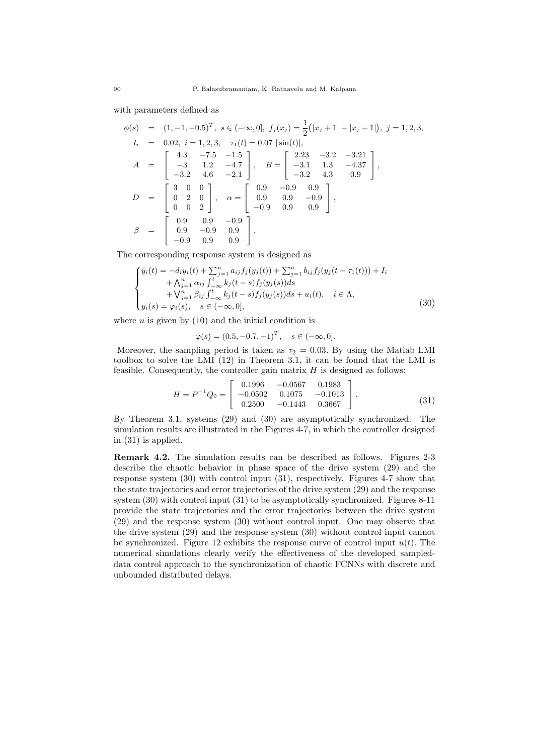with parameters defined as

$$
\phi(s) = (1, -1, -0.5)^T, \ s \in (-\infty, 0], \ f_j(x_j) = \frac{1}{2} (|x_j + 1| - |x_j - 1|), \ j = 1, 2, 3,
$$
  
\n
$$
I_i = 0.02, \ i = 1, 2, 3, \quad \tau_1(t) = 0.07 |\sin(t)|,
$$
  
\n
$$
A = \begin{bmatrix} 4.3 & -7.5 & -1.5 \\ -3 & 1.2 & -4.7 \\ -3.2 & 4.6 & -2.1 \end{bmatrix}, \ B = \begin{bmatrix} 2.23 & -3.2 & -3.21 \\ -3.1 & 1.3 & -4.37 \\ -3.2 & 4.3 & 0.9 \end{bmatrix},
$$
  
\n
$$
D = \begin{bmatrix} 3 & 0 & 0 \\ 0 & 2 & 0 \\ 0 & 0 & 2 \end{bmatrix}, \ \alpha = \begin{bmatrix} 0.9 & -0.9 & 0.9 \\ 0.9 & 0.9 & -0.9 \\ -0.9 & 0.9 & 0.9 \end{bmatrix},
$$
  
\n
$$
\beta = \begin{bmatrix} 0.9 & 0.9 & -0.9 \\ 0.9 & -0.9 & 0.9 \\ -0.9 & 0.9 & 0.9 \end{bmatrix}.
$$

The corresponding response system is designed as

$$
\begin{cases}\n\dot{y}_i(t) = -d_i y_i(t) + \sum_{j=1}^n a_{ij} f_j(y_j(t)) + \sum_{j=1}^n b_{ij} f_j(y_j(t - \tau_1(t))) + I_i \\
+ \Lambda_{j=1}^n \alpha_{ij} \int_{-\infty}^t k_j(t - s) f_j(y_j(s)) ds \\
+ \bigvee_{j=1}^n \beta_{ij} \int_{-\infty}^t k_j(t - s) f_j(y_j(s)) ds + u_i(t), \quad i \in \Lambda, \\
y_i(s) = \varphi_i(s), \quad s \in (-\infty, 0],\n\end{cases} \tag{30}
$$

where  $u$  is given by  $(10)$  and the initial condition is

$$
\varphi(s) = (0.5, -0.7, -1)^T, \quad s \in (-\infty, 0].
$$

Moreover, the sampling period is taken as  $\tau_2 = 0.03$ . By using the Matlab LMI toolbox to solve the LMI (12) in Theorem 3.1, it can be found that the LMI is feasible. Consequently, the controller gain matrix *H* is designed as follows:

$$
H = P^{-1}Q_0 = \begin{bmatrix} 0.1996 & -0.0567 & 0.1983 \\ -0.0502 & 0.1075 & -0.1013 \\ 0.2500 & -0.1443 & 0.3667 \end{bmatrix}.
$$
 (31)

By Theorem 3.1, systems (29) and (30) are asymptotically synchronized. The simulation results are illustrated in the Figures 4-7, in which the controller designed in (31) is applied.

**Remark 4.2.** The simulation results can be described as follows. Figures 2-3 describe the chaotic behavior in phase space of the drive system (29) and the response system (30) with control input (31), respectively. Figures 4-7 show that the state trajectories and error trajectories of the drive system (29) and the response system (30) with control input (31) to be asymptotically synchronized. Figures 8-11 provide the state trajectories and the error trajectories between the drive system (29) and the response system (30) without control input. One may observe that the drive system (29) and the response system (30) without control input cannot be synchronized. Figure 12 exhibits the response curve of control input  $u(t)$ . The numerical simulations clearly verify the effectiveness of the developed sampleddata control approach to the synchronization of chaotic FCNNs with discrete and unbounded distributed delays.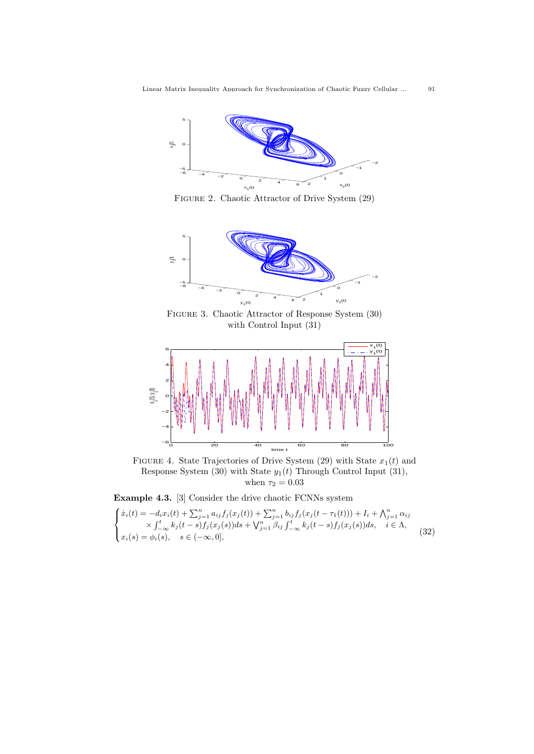

Figure 2. Chaotic Attractor of Drive System (29)



Figure 3. Chaotic Attractor of Response System (30) with Control Input (31)



FIGURE 4. State Trajectories of Drive System  $(29)$  with State  $x_1(t)$  and Response System (30) with State *y*1(*t*) Through Control Input (31), when  $\tau_2=0.03$ 

**Example 4.3.** [3] Consider the drive chaotic FCNNs system

$$
\begin{cases}\n\dot{x}_i(t) = -d_i x_i(t) + \sum_{j=1}^n a_{ij} f_j(x_j(t)) + \sum_{j=1}^n b_{ij} f_j(x_j(t - \tau_1(t))) + I_i + \bigwedge_{j=1}^n \alpha_{ij} \\
\times \int_{-\infty}^t k_j(t - s) f_j(x_j(s)) ds + \bigvee_{j=1}^n \beta_{ij} \int_{-\infty}^t k_j(t - s) f_j(x_j(s)) ds, \quad i \in \Lambda, \\
x_i(s) = \phi_i(s), \quad s \in (-\infty, 0],\n\end{cases} \tag{32}
$$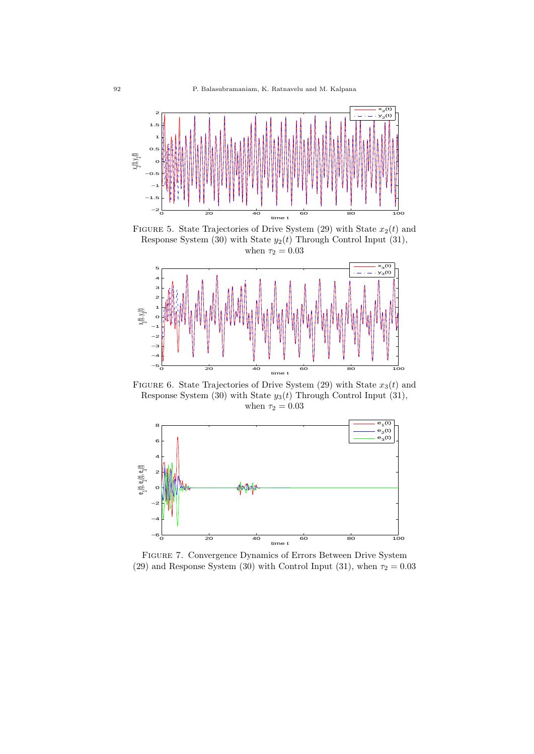

FIGURE 5. State Trajectories of Drive System  $(29)$  with State  $x_2(t)$  and Response System (30) with State  $y_2(t)$  Through Control Input (31), when  $\tau_2 = 0.03$ 



FIGURE 6. State Trajectories of Drive System  $(29)$  with State  $x_3(t)$  and Response System (30) with State *y*3(*t*) Through Control Input (31), when  $\tau_2 = 0.03$ 



Figure 7. Convergence Dynamics of Errors Between Drive System (29) and Response System (30) with Control Input (31), when  $\tau_2 = 0.03$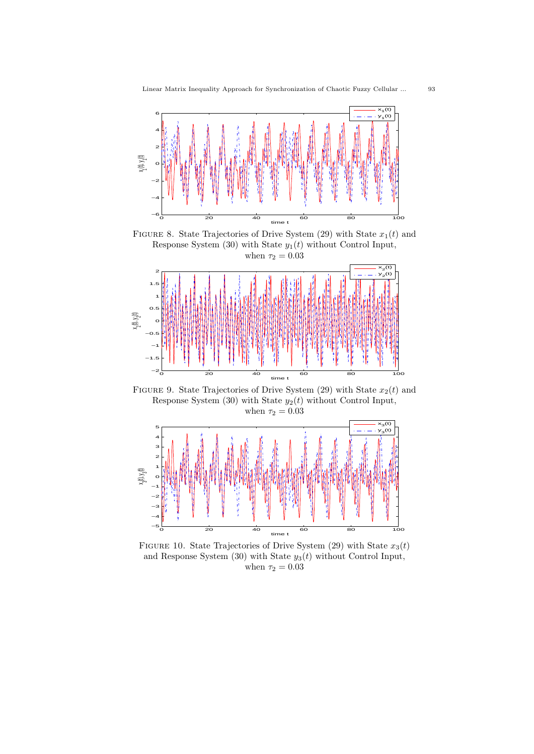

FIGURE 8. State Trajectories of Drive System  $(29)$  with State  $x_1(t)$  and Response System  $(30)$  with State  $y_1(t)$  without Control Input, when  $\tau_2 = 0.03$ 



FIGURE 9. State Trajectories of Drive System  $(29)$  with State  $x_2(t)$  and Response System (30) with State *y*2(*t*) without Control Input, when  $\tau_2 = 0.03$ 



FIGURE 10. State Trajectories of Drive System (29) with State  $x_3(t)$ and Response System (30) with State *y*3(*t*) without Control Input, when  $\tau_2 = 0.03$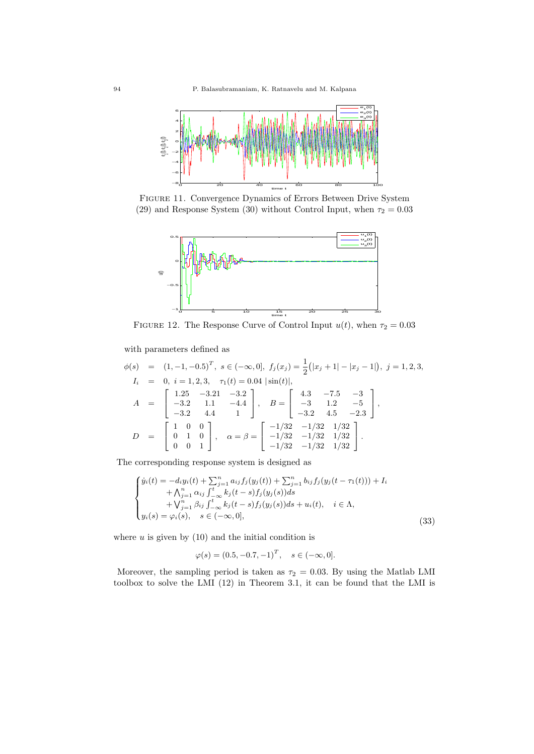

Figure 11. Convergence Dynamics of Errors Between Drive System (29) and Response System (30) without Control Input, when  $\tau_2 = 0.03$ 



FIGURE 12. The Response Curve of Control Input  $u(t)$ , when  $\tau_2 = 0.03$ 

with parameters defined as

$$
\phi(s) = (1, -1, -0.5)^T, \ s \in (-\infty, 0], \ f_j(x_j) = \frac{1}{2}(|x_j + 1| - |x_j - 1|), \ j = 1, 2, 3,
$$
  
\n
$$
I_i = 0, \ i = 1, 2, 3, \quad \tau_1(t) = 0.04 \ |\sin(t)|,
$$
  
\n
$$
A = \begin{bmatrix} 1.25 & -3.21 & -3.2 \\ -3.2 & 1.1 & -4.4 \\ -3.2 & 4.4 & 1 \end{bmatrix}, \quad B = \begin{bmatrix} 4.3 & -7.5 & -3 \\ -3 & 1.2 & -5 \\ -3.2 & 4.5 & -2.3 \end{bmatrix},
$$
  
\n
$$
D = \begin{bmatrix} 1 & 0 & 0 \\ 0 & 1 & 0 \\ 0 & 0 & 1 \end{bmatrix}, \quad \alpha = \beta = \begin{bmatrix} -1/32 & -1/32 & 1/32 \\ -1/32 & -1/32 & 1/32 \\ -1/32 & -1/32 & 1/32 \end{bmatrix}.
$$

The corresponding response system is designed as

$$
\begin{cases}\n\dot{y}_i(t) = -d_i y_i(t) + \sum_{j=1}^n a_{ij} f_j(y_j(t)) + \sum_{j=1}^n b_{ij} f_j(y_j(t - \tau_1(t))) + I_i \\
\quad + \bigwedge_{j=1}^n \alpha_{ij} \int_{-\infty}^t k_j(t - s) f_j(y_j(s)) ds \\
\quad + \bigvee_{j=1}^n \beta_{ij} \int_{-\infty}^t k_j(t - s) f_j(y_j(s)) ds + u_i(t), \quad i \in \Lambda, \\
y_i(s) = \varphi_i(s), \quad s \in (-\infty, 0],\n\end{cases} \tag{33}
$$

where  $u$  is given by  $(10)$  and the initial condition is

$$
\varphi(s) = (0.5, -0.7, -1)^T, \quad s \in (-\infty, 0].
$$

Moreover, the sampling period is taken as  $\tau_2 = 0.03$ . By using the Matlab LMI toolbox to solve the LMI (12) in Theorem 3.1, it can be found that the LMI is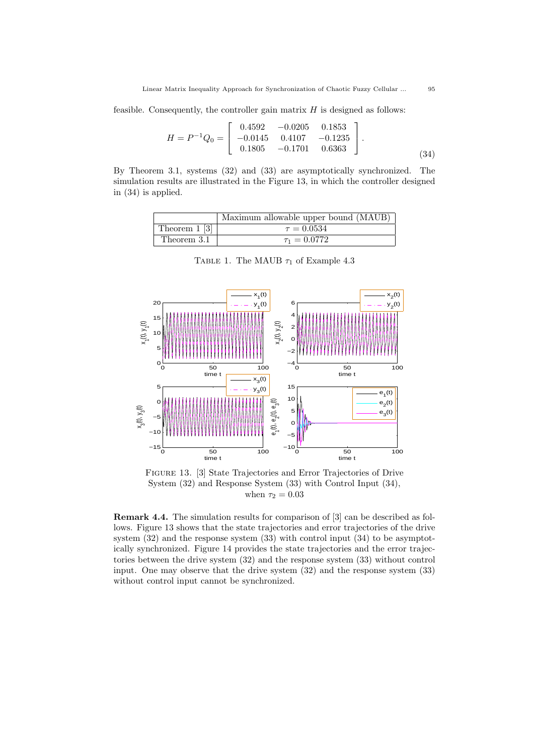feasible. Consequently, the controller gain matrix *H* is designed as follows:

$$
H = P^{-1}Q_0 = \begin{bmatrix} 0.4592 & -0.0205 & 0.1853 \\ -0.0145 & 0.4107 & -0.1235 \\ 0.1805 & -0.1701 & 0.6363 \end{bmatrix}.
$$
\n(34)

By Theorem 3.1, systems (32) and (33) are asymptotically synchronized. The simulation results are illustrated in the Figure 13, in which the controller designed in (34) is applied.

|                  | Maximum allowable upper bound (MAUB) |
|------------------|--------------------------------------|
| Theorem $1 \, 3$ | $\tau = 0.0534$                      |
| Theorem 3.1      | $\tau_1 = 0.0772$                    |

0 50 100 0 5 10 15 20  $\frac{1}{50}$ <br>time  $x_1(t), y_1(t)$  $x_1(t)$  $y_1(t)$ 0 50 100 −4 −2 0 2 4 6  $\frac{50}{1}$  $\times$  $z^{(t), y}$ 2(t)  $x_2(t)$  $y_2(t)$ 0 50 100 −15 L<br>0 −10 −5 0 5  $x_3(t), y_3(t)$  $x_3(t)$  $y_3(t)$ 0 50 100 −10 −5 0 5 10 15 e $\hat{\mathbf{t}}$  $e^{(t)}$  $\widehat{\epsilon}^2$  $e_1(t)$  $e_2(t)$  $e_3(t)$ 

TABLE 1. The MAUB  $\tau_1$  of Example 4.3

Figure 13. [3] State Trajectories and Error Trajectories of Drive System (32) and Response System (33) with Control Input (34), when  $\tau_2 = 0.03$ 

**Remark 4.4.** The simulation results for comparison of [3] can be described as follows. Figure 13 shows that the state trajectories and error trajectories of the drive system (32) and the response system (33) with control input (34) to be asymptotically synchronized. Figure 14 provides the state trajectories and the error trajectories between the drive system (32) and the response system (33) without control input. One may observe that the drive system (32) and the response system (33) without control input cannot be synchronized.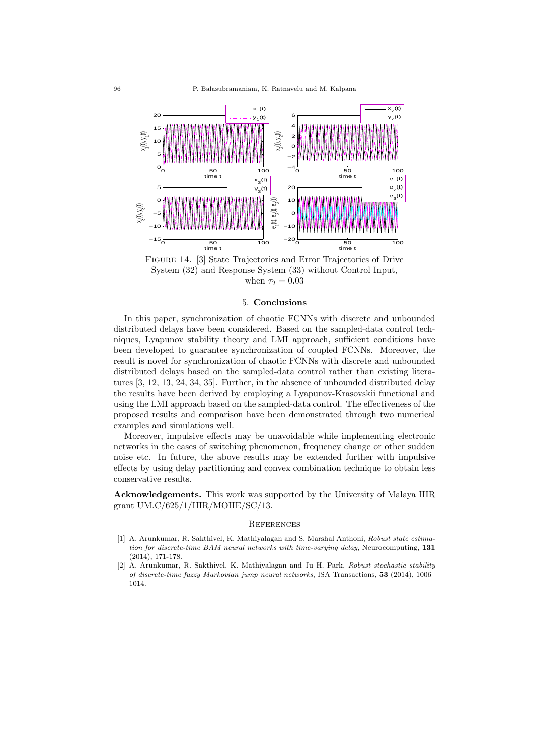

Figure 14. [3] State Trajectories and Error Trajectories of Drive System (32) and Response System (33) without Control Input, when  $\tau_2 = 0.03$ 

### 5. **Conclusions**

In this paper, synchronization of chaotic FCNNs with discrete and unbounded distributed delays have been considered. Based on the sampled-data control techniques, Lyapunov stability theory and LMI approach, sufficient conditions have been developed to guarantee synchronization of coupled FCNNs. Moreover, the result is novel for synchronization of chaotic FCNNs with discrete and unbounded distributed delays based on the sampled-data control rather than existing literatures [3, 12, 13, 24, 34, 35]. Further, in the absence of unbounded distributed delay the results have been derived by employing a Lyapunov-Krasovskii functional and using the LMI approach based on the sampled-data control. The effectiveness of the proposed results and comparison have been demonstrated through two numerical examples and simulations well.

Moreover, impulsive effects may be unavoidable while implementing electronic networks in the cases of switching phenomenon, frequency change or other sudden noise etc. In future, the above results may be extended further with impulsive effects by using delay partitioning and convex combination technique to obtain less conservative results.

**Acknowledgements.** This work was supported by the University of Malaya HIR grant UM.C/625/1/HIR/MOHE/SC/13.

#### **REFERENCES**

- [1] A. Arunkumar, R. Sakthivel, K. Mathiyalagan and S. Marshal Anthoni, *Robust state estimation for discrete-time BAM neural networks with time-varying delay*, Neurocomputing, **131** (2014), 171-178.
- [2] A. Arunkumar, R. Sakthivel, K. Mathiyalagan and Ju H. Park, *Robust stochastic stability of discrete-time fuzzy Markovian jump neural networks*, ISA Transactions, **53** (2014), 1006– 1014.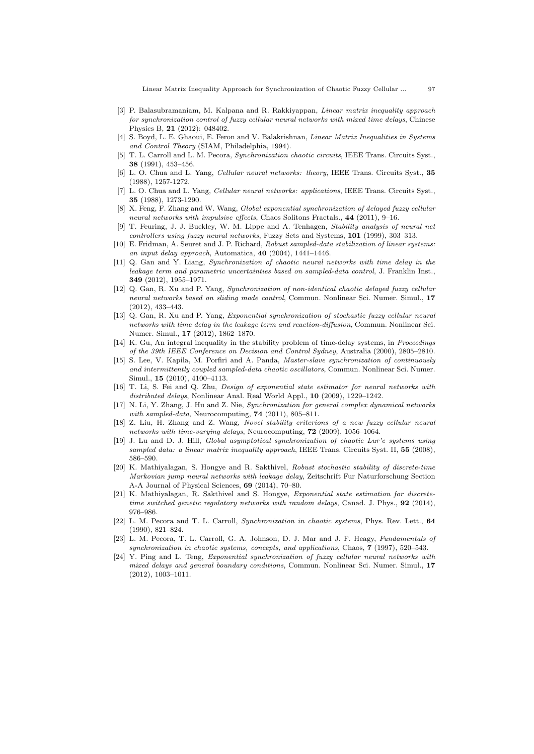- [3] P. Balasubramaniam, M. Kalpana and R. Rakkiyappan, *Linear matrix inequality approach for synchronization control of fuzzy cellular neural networks with mixed time delays*, Chinese Physics B, **21** (2012): 048402.
- [4] S. Boyd, L. E. Ghaoui, E. Feron and V. Balakrishnan, *Linear Matrix Inequalities in Systems and Control Theory* (SIAM, Philadelphia, 1994).
- [5] T. L. Carroll and L. M. Pecora, *Synchronization chaotic circuits*, IEEE Trans. Circuits Syst., **38** (1991), 453–456.
- [6] L. O. Chua and L. Yang, *Cellular neural networks: theory*, IEEE Trans. Circuits Syst., **35** (1988), 1257-1272.
- [7] L. O. Chua and L. Yang, *Cellular neural networks: applications*, IEEE Trans. Circuits Syst., **35** (1988), 1273-1290.
- [8] X. Feng, F. Zhang and W. Wang, *Global exponential synchronization of delayed fuzzy cellular neural networks with impulsive effects*, Chaos Solitons Fractals., **44** (2011), 9–16.
- [9] T. Feuring, J. J. Buckley, W. M. Lippe and A. Tenhagen, *Stability analysis of neural net controllers using fuzzy neural networks*, Fuzzy Sets and Systems, **101** (1999), 303–313.
- [10] E. Fridman, A. Seuret and J. P. Richard, *Robust sampled-data stabilization of linear systems: an input delay approach*, Automatica, **40** (2004), 1441–1446.
- [11] Q. Gan and Y. Liang, *Synchronization of chaotic neural networks with time delay in the leakage term and parametric uncertainties based on sampled-data control*, J. Franklin Inst., **349** (2012), 1955–1971.
- [12] Q. Gan, R. Xu and P. Yang, *Synchronization of non-identical chaotic delayed fuzzy cellular neural networks based on sliding mode control*, Commun. Nonlinear Sci. Numer. Simul., **17** (2012), 433–443.
- [13] Q. Gan, R. Xu and P. Yang, *Exponential synchronization of stochastic fuzzy cellular neural networks with time delay in the leakage term and reaction-diffusion*, Commun. Nonlinear Sci. Numer. Simul., **17** (2012), 1862–1870.
- [14] K. Gu, An integral inequality in the stability problem of time-delay systems, in *Proceedings of the 39th IEEE Conference on Decision and Control Sydney*, Australia (2000), 2805–2810.
- [15] S. Lee, V. Kapila, M. Porfiri and A. Panda, *Master-slave synchronization of continuously and intermittently coupled sampled-data chaotic oscillators*, Commun. Nonlinear Sci. Numer. Simul., **15** (2010), 4100–4113.
- [16] T. Li, S. Fei and Q. Zhu, *Design of exponential state estimator for neural networks with distributed delays*, Nonlinear Anal. Real World Appl., **10** (2009), 1229–1242.
- [17] N. Li, Y. Zhang, J. Hu and Z. Nie, *Synchronization for general complex dynamical networks with sampled-data*, Neurocomputing, **74** (2011), 805–811.
- [18] Z. Liu, H. Zhang and Z. Wang, *Novel stability criterions of a new fuzzy cellular neural networks with time-varying delays*, Neurocomputing, **72** (2009), 1056–1064.
- [19] J. Lu and D. J. Hill, *Global asymptotical synchronization of chaotic Lur'e systems using sampled data: a linear matrix inequality approach*, IEEE Trans. Circuits Syst. II, **55** (2008), 586–590.
- [20] K. Mathiyalagan, S. Hongye and R. Sakthivel, *Robust stochastic stability of discrete-time Markovian jump neural networks with leakage delay*, Zeitschrift Fur Naturforschung Section A-A Journal of Physical Sciences, **69** (2014), 70–80.
- [21] K. Mathiyalagan, R. Sakthivel and S. Hongye, *Exponential state estimation for discretetime switched genetic regulatory networks with random delays*, Canad. J. Phys., **92** (2014), 976–986.
- [22] L. M. Pecora and T. L. Carroll, *Synchronization in chaotic systems*, Phys. Rev. Lett., **64** (1990), 821–824.
- [23] L. M. Pecora, T. L. Carroll, G. A. Johnson, D. J. Mar and J. F. Heagy, *Fundamentals of synchronization in chaotic systems, concepts, and applications*, Chaos, **7** (1997), 520–543.
- [24] Y. Ping and L. Teng, *Exponential synchronization of fuzzy cellular neural networks with mixed delays and general boundary conditions*, Commun. Nonlinear Sci. Numer. Simul., **17** (2012), 1003–1011.